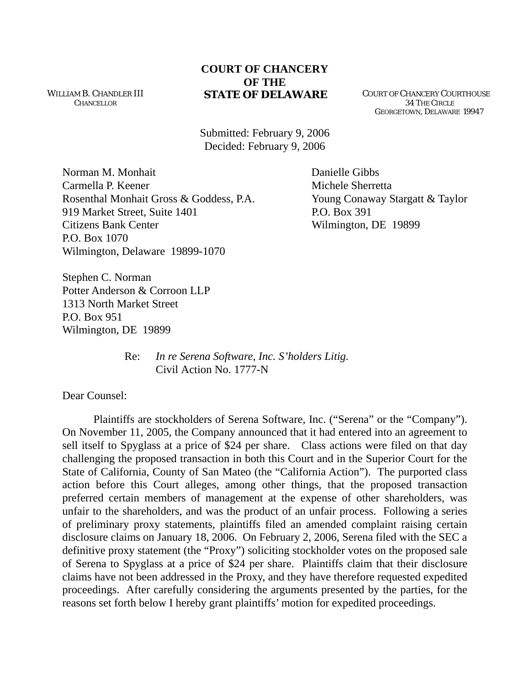WILLIAM B. CHANDLER III CHANCELLOR

## **COURT OF CHANCERY OF THE STATE OF DELAWARE** COURT OF CHANCERY COURTHOUSE

 34 THE CIRCLE GEORGETOWN, DELAWARE 19947

Submitted: February 9, 2006 Decided: February 9, 2006

Norman M. Monhait Danielle Gibbs Carmella P. Keener **Michele Sherretta** Rosenthal Monhait Gross & Goddess, P.A. Young Conaway Stargatt & Taylor 919 Market Street, Suite 1401 P.O. Box 391 Citizens Bank Center Wilmington, DE 19899 P.O. Box 1070 Wilmington, Delaware 19899-1070

Stephen C. Norman Potter Anderson & Corroon LLP 1313 North Market Street P.O. Box 951 Wilmington, DE 19899

> Re: *In re Serena Software, Inc. S'holders Litig.*  Civil Action No. 1777-N

Dear Counsel:

Plaintiffs are stockholders of Serena Software, Inc. ("Serena" or the "Company"). On November 11, 2005, the Company announced that it had entered into an agreement to sell itself to Spyglass at a price of \$24 per share. Class actions were filed on that day challenging the proposed transaction in both this Court and in the Superior Court for the State of California, County of San Mateo (the "California Action"). The purported class action before this Court alleges, among other things, that the proposed transaction preferred certain members of management at the expense of other shareholders, was unfair to the shareholders, and was the product of an unfair process. Following a series of preliminary proxy statements, plaintiffs filed an amended complaint raising certain disclosure claims on January 18, 2006. On February 2, 2006, Serena filed with the SEC a definitive proxy statement (the "Proxy") soliciting stockholder votes on the proposed sale of Serena to Spyglass at a price of \$24 per share. Plaintiffs claim that their disclosure claims have not been addressed in the Proxy, and they have therefore requested expedited proceedings. After carefully considering the arguments presented by the parties, for the reasons set forth below I hereby grant plaintiffs' motion for expedited proceedings.